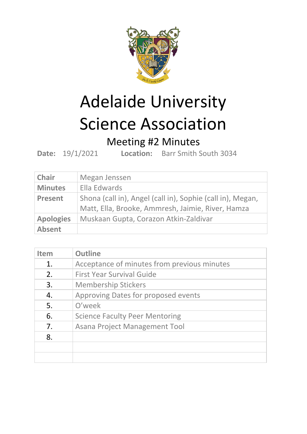

## Adelaide University Science Association

## Meeting #2 Minutes

**Date:** 19/1/2021 **Location:** Barr Smith South 3034

| <b>Chair</b>     | Megan Jenssen                                              |
|------------------|------------------------------------------------------------|
| <b>Minutes</b>   | Ella Edwards                                               |
| <b>Present</b>   | Shona (call in), Angel (call in), Sophie (call in), Megan, |
|                  | Matt, Ella, Brooke, Ammresh, Jaimie, River, Hamza          |
| <b>Apologies</b> | Muskaan Gupta, Corazon Atkin-Zaldivar                      |
| <b>Absent</b>    |                                                            |

| <b>Item</b> | <b>Outline</b>                              |
|-------------|---------------------------------------------|
| 1.          | Acceptance of minutes from previous minutes |
| 2.          | <b>First Year Survival Guide</b>            |
| 3.          | <b>Membership Stickers</b>                  |
| 4.          | Approving Dates for proposed events         |
| 5.          | O'week                                      |
| 6.          | <b>Science Faculty Peer Mentoring</b>       |
| 7.          | Asana Project Management Tool               |
| 8.          |                                             |
|             |                                             |
|             |                                             |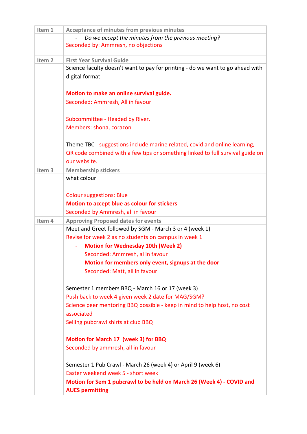| Item 1            | <b>Acceptance of minutes from previous minutes</b>                             |
|-------------------|--------------------------------------------------------------------------------|
|                   | Do we accept the minutes from the previous meeting?                            |
|                   | Seconded by: Ammresh, no objections                                            |
|                   |                                                                                |
| Item <sub>2</sub> | <b>First Year Survival Guide</b>                                               |
|                   | Science faculty doesn't want to pay for printing - do we want to go ahead with |
|                   | digital format                                                                 |
|                   |                                                                                |
|                   | Motion to make an online survival guide.                                       |
|                   | Seconded: Ammresh, All in favour                                               |
|                   |                                                                                |
|                   | Subcommittee - Headed by River.                                                |
|                   | Members: shona, corazon                                                        |
|                   |                                                                                |
|                   | Theme TBC - suggestions include marine related, covid and online learning,     |
|                   | QR code combined with a few tips or something linked to full survival guide on |
|                   | our website.                                                                   |
| Item <sub>3</sub> | <b>Membership stickers</b>                                                     |
|                   | what colour                                                                    |
|                   |                                                                                |
|                   | <b>Colour suggestions: Blue</b>                                                |
|                   | Motion to accept blue as colour for stickers                                   |
|                   | Seconded by Ammresh, all in favour                                             |
| Item 4            | <b>Approving Proposed dates for events</b>                                     |
|                   | Meet and Greet followed by SGM - March 3 or 4 (week 1)                         |
|                   | Revise for week 2 as no students on campus in week 1                           |
|                   | <b>Motion for Wednesday 10th (Week 2)</b>                                      |
|                   | Seconded: Ammresh, al in favour                                                |
|                   | Motion for members only event, signups at the door                             |
|                   | Seconded: Matt, all in favour                                                  |
|                   |                                                                                |
|                   | Semester 1 members BBQ - March 16 or 17 (week 3)                               |
|                   | Push back to week 4 given week 2 date for MAG/SGM?                             |
|                   | Science peer mentoring BBQ possible - keep in mind to help host, no cost       |
|                   | associated                                                                     |
|                   | Selling pubcrawl shirts at club BBQ                                            |
|                   |                                                                                |
|                   | <b>Motion for March 17 (week 3) for BBQ</b>                                    |
|                   | Seconded by ammresh, all in favour                                             |
|                   |                                                                                |
|                   | Semester 1 Pub Crawl - March 26 (week 4) or April 9 (week 6)                   |
|                   | Easter weekend week 5 - short week                                             |
|                   | Motion for Sem 1 pubcrawl to be held on March 26 (Week 4) - COVID and          |
|                   | <b>AUES permitting</b>                                                         |
|                   |                                                                                |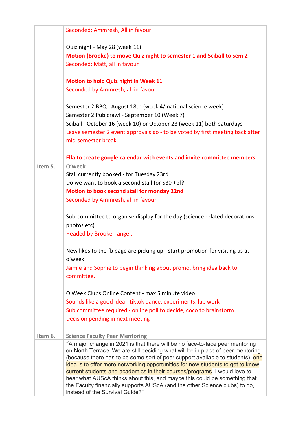|         | Seconded: Ammresh, All in favour                                                                                                                                                                                                                                                                                                                                                                                                                                                                                                                                             |
|---------|------------------------------------------------------------------------------------------------------------------------------------------------------------------------------------------------------------------------------------------------------------------------------------------------------------------------------------------------------------------------------------------------------------------------------------------------------------------------------------------------------------------------------------------------------------------------------|
|         | Quiz night - May 28 (week 11)                                                                                                                                                                                                                                                                                                                                                                                                                                                                                                                                                |
|         | Motion (Brooke) to move Quiz night to semester 1 and Sciball to sem 2                                                                                                                                                                                                                                                                                                                                                                                                                                                                                                        |
|         | Seconded: Matt, all in favour                                                                                                                                                                                                                                                                                                                                                                                                                                                                                                                                                |
|         | <b>Motion to hold Quiz night in Week 11</b>                                                                                                                                                                                                                                                                                                                                                                                                                                                                                                                                  |
|         | Seconded by Ammresh, all in favour                                                                                                                                                                                                                                                                                                                                                                                                                                                                                                                                           |
|         | Semester 2 BBQ - August 18th (week 4/ national science week)                                                                                                                                                                                                                                                                                                                                                                                                                                                                                                                 |
|         | Semester 2 Pub crawl - September 10 (Week 7)                                                                                                                                                                                                                                                                                                                                                                                                                                                                                                                                 |
|         | Sciball - October 16 (week 10) or October 23 (week 11) both saturdays                                                                                                                                                                                                                                                                                                                                                                                                                                                                                                        |
|         | Leave semester 2 event approvals go - to be voted by first meeting back after                                                                                                                                                                                                                                                                                                                                                                                                                                                                                                |
|         | mid-semester break.                                                                                                                                                                                                                                                                                                                                                                                                                                                                                                                                                          |
|         | Ella to create google calendar with events and invite committee members                                                                                                                                                                                                                                                                                                                                                                                                                                                                                                      |
| Item 5. | O'week                                                                                                                                                                                                                                                                                                                                                                                                                                                                                                                                                                       |
|         | Stall currently booked - for Tuesday 23rd                                                                                                                                                                                                                                                                                                                                                                                                                                                                                                                                    |
|         | Do we want to book a second stall for \$30 +bf?                                                                                                                                                                                                                                                                                                                                                                                                                                                                                                                              |
|         | Motion to book second stall for monday 22nd                                                                                                                                                                                                                                                                                                                                                                                                                                                                                                                                  |
|         | Seconded by Ammresh, all in favour                                                                                                                                                                                                                                                                                                                                                                                                                                                                                                                                           |
|         | Sub-committee to organise display for the day (science related decorations,                                                                                                                                                                                                                                                                                                                                                                                                                                                                                                  |
|         | photos etc)                                                                                                                                                                                                                                                                                                                                                                                                                                                                                                                                                                  |
|         | Headed by Brooke - angel,                                                                                                                                                                                                                                                                                                                                                                                                                                                                                                                                                    |
|         | New likes to the fb page are picking up - start promotion for visiting us at<br>o'week                                                                                                                                                                                                                                                                                                                                                                                                                                                                                       |
|         | Jaimie and Sophie to begin thinking about promo, bring idea back to<br>committee.                                                                                                                                                                                                                                                                                                                                                                                                                                                                                            |
|         | O'Week Clubs Online Content - max 5 minute video                                                                                                                                                                                                                                                                                                                                                                                                                                                                                                                             |
|         | Sounds like a good idea - tiktok dance, experiments, lab work                                                                                                                                                                                                                                                                                                                                                                                                                                                                                                                |
|         | Sub committee required - online poll to decide, coco to brainstorm                                                                                                                                                                                                                                                                                                                                                                                                                                                                                                           |
|         | Decision pending in next meeting                                                                                                                                                                                                                                                                                                                                                                                                                                                                                                                                             |
| Item 6. | <b>Science Faculty Peer Mentoring</b>                                                                                                                                                                                                                                                                                                                                                                                                                                                                                                                                        |
|         | "A major change in 2021 is that there will be no face-to-face peer mentoring<br>on North Terrace. We are still deciding what will be in place of peer mentoring<br>(because there has to be some sort of peer support available to students), one<br>idea is to offer more networking opportunities for new students to get to know<br>current students and academics in their courses/programs. I would love to<br>hear what AUScA thinks about this, and maybe this could be something that<br>the Faculty financially supports AUScA (and the other Science clubs) to do, |
|         | instead of the Survival Guide?"                                                                                                                                                                                                                                                                                                                                                                                                                                                                                                                                              |